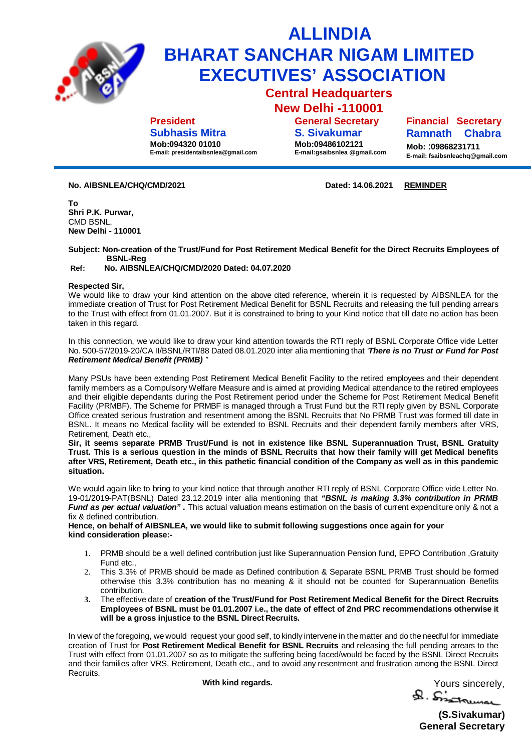

## **ALLINDIA BHARAT SANCHAR NIGAM LIMITED EXECUTIVES' ASSOCIATION**

**Central Headquarters New Delhi -110001**

**President Subhasis Mitra**

**Mob:094320 01010 E-mail: [presidentaibsnlea@gmail.com](mailto:presidentaibsnlea@gmail.com)**

**S. Sivakumar Mob:09486102121 E-mail:gsaibsnlea [@gmail.com](mailto:@gmail.com)**

**General Secretary**

**Financial Secretary Ramnath Chabra** 

**Mob:** :**09868231711 E-mail: [fsaibsnleachq@gmail.com](mailto:fsaibsnleachq@gmail.com)**

**No. AIBSNLEA/CHQ/CMD/2021 Dated: 14.06.2021 REMINDER**

**To Shri P.K. Purwar,** CMD BSNL, **New Delhi - 110001**

**Subject: Non-creation of the Trust/Fund for Post Retirement Medical Benefit for the Direct Recruits Employees of BSNL-Reg**

**Ref: No. AIBSNLEA/CHQ/CMD/2020 Dated: 04.07.2020**

## **Respected Sir,**

We would like to draw your kind attention on the above cited reference, wherein it is requested by AIBSNLEA for the immediate creation of Trust for Post Retirement Medical Benefit for BSNL Recruits and releasing the full pending arrears to the Trust with effect from 01.01.2007. But it is constrained to bring to your Kind notice that till date no action has been taken in this regard.

In this connection, we would like to draw your kind attention towards the RTI reply of BSNL Corporate Office vide Letter No. 500-57/2019-20/CA II/BSNL/RTI/88 Dated 08.01.2020 inter alia mentioning that *'There is no Trust or Fund for Post Retirement Medical Benefit (PRMB) "*

Many PSUs have been extending Post Retirement Medical Benefit Facility to the retired employees and their dependent family members as a Compulsory Welfare Measure and is aimed at providing Medical attendance to the retired employees and their eligible dependants during the Post Retirement period under the Scheme for Post Retirement Medical Benefit Facility (PRMBF). The Scheme for PRMBF is managed through a Trust Fund but the RTI reply given by BSNL Corporate Office created serious frustration and resentment among the BSNL Recruits that No PRMB Trust was formed till date in BSNL. It means no Medical facility will be extended to BSNL Recruits and their dependent family members after VRS, Retirement, Death etc.,

**Sir, it seems separate PRMB Trust/Fund is not in existence like BSNL Superannuation Trust, BSNL Gratuity Trust. This is a serious question in the minds of BSNL Recruits that how their family will get Medical benefits after VRS, Retirement, Death etc., in this pathetic financial condition of the Company as well as in this pandemic situation.**

We would again like to bring to your kind notice that through another RTI reply of BSNL Corporate Office vide Letter No. 19-01/2019-PAT(BSNL) Dated 23.12.2019 inter alia mentioning that *"BSNL is making 3.3% contribution in PRMB Fund as per actual valuation"* **.** This actual valuation means estimation on the basis of current expenditure only & not a fix & defined contribution.

**Hence, on behalf of AIBSNLEA, we would like to submit following suggestions once again for your kind consideration please:-**

- 1. PRMB should be a well defined contribution just like Superannuation Pension fund, EPFO Contribution ,Gratuity Fund etc.,
- 2. This 3.3% of PRMB should be made as Defined contribution & Separate BSNL PRMB Trust should be formed otherwise this 3.3% contribution has no meaning & it should not be counted for Superannuation Benefits contribution.
- **3.** The effective date of **creation of the Trust/Fund for Post Retirement Medical Benefit for the Direct Recruits Employees of BSNL must be 01.01.2007 i.e., the date of effect of 2nd PRC recommendations otherwise it will be a gross injustice to the BSNL Direct Recruits.**

In view of the foregoing, we would request your good self, to kindly intervene in thematter and do the needful for immediate creation of Trust for **Post Retirement Medical Benefit for BSNL Recruits** and releasing the full pending arrears to the Trust with effect from 01.01.2007 so as to mitigate the suffering being faced/would be faced by the BSNL Direct Recruits and their families after VRS, Retirement, Death etc., and to avoid any resentment and frustration among the BSNL Direct Recruits.

With kind regards.<br> **A** Sincerely,

**(S.Sivakumar) General Secretary**